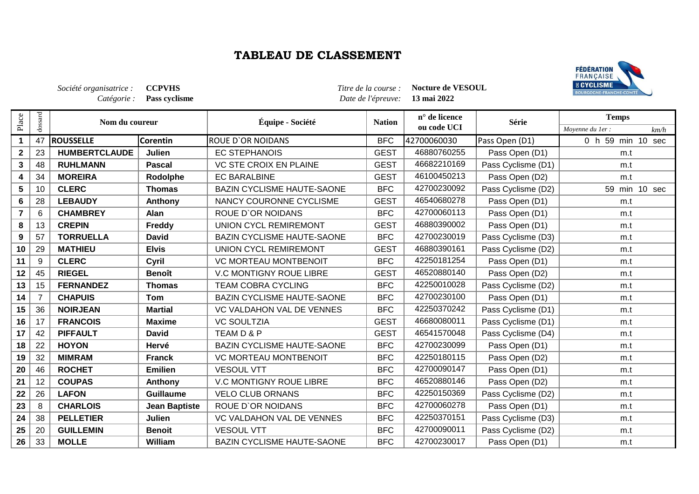## **TABLEAU DE CLASSEMENT**



|                |                | Société organisatrice :<br>Catégorie : | <b>CCPVHS</b><br>Pass cyclisme |                                   | Titre de la course :<br>Date de l'épreuve: | Nocture de VESOUL<br>13 mai 2022 |                    | <b>B</b> CYCLISME<br>BOURGOGNE-FRANCHE-COMT |  |
|----------------|----------------|----------------------------------------|--------------------------------|-----------------------------------|--------------------------------------------|----------------------------------|--------------------|---------------------------------------------|--|
| Place          | dossard        | Nom du coureur                         |                                | Équipe - Société                  | <b>Nation</b>                              | n° de licence<br>ou code UCI     | Série              | <b>Temps</b><br>Moyenne du 1er :<br>km/h    |  |
| $\mathbf 1$    | 47             | <b>ROUSSELLE</b>                       | Corentin                       | <b>ROUE D'OR NOIDANS</b>          | <b>BFC</b>                                 | 42700060030                      | Pass Open (D1)     | 0 h 59 min 10 sec                           |  |
| $\mathbf 2$    | 23             | <b>HUMBERTCLAUDE</b>                   | Julien                         | <b>EC STEPHANOIS</b>              | <b>GEST</b>                                | 46880760255                      | Pass Open (D1)     | m.t                                         |  |
| $\mathbf{3}$   | 48             | <b>RUHLMANN</b>                        | <b>Pascal</b>                  | <b>VC STE CROIX EN PLAINE</b>     | <b>GEST</b>                                | 46682210169                      | Pass Cyclisme (D1) | m.t                                         |  |
| 4              | 34             | <b>MOREIRA</b>                         | Rodolphe                       | <b>EC BARALBINE</b>               | <b>GEST</b>                                | 46100450213                      | Pass Open (D2)     | m.t                                         |  |
| 5              | 10             | <b>CLERC</b>                           | <b>Thomas</b>                  | <b>BAZIN CYCLISME HAUTE-SAONE</b> | <b>BFC</b>                                 | 42700230092                      | Pass Cyclisme (D2) | 59 min 10 sec                               |  |
| 6              | 28             | <b>LEBAUDY</b>                         | Anthony                        | NANCY COURONNE CYCLISME           | <b>GEST</b>                                | 46540680278                      | Pass Open (D1)     | m.t                                         |  |
| $\overline{7}$ | 6              | <b>CHAMBREY</b>                        | Alan                           | <b>ROUE D'OR NOIDANS</b>          | <b>BFC</b>                                 | 42700060113                      | Pass Open (D1)     | m.t                                         |  |
| 8              | 13             | <b>CREPIN</b>                          | Freddy                         | <b>UNION CYCL REMIREMONT</b>      | <b>GEST</b>                                | 46880390002                      | Pass Open (D1)     | m.t                                         |  |
| 9              | 57             | <b>TORRUELLA</b>                       | <b>David</b>                   | <b>BAZIN CYCLISME HAUTE-SAONE</b> | <b>BFC</b>                                 | 42700230019                      | Pass Cyclisme (D3) | m.t                                         |  |
| 10             | 29             | <b>MATHIEU</b>                         | <b>Elvis</b>                   | <b>UNION CYCL REMIREMONT</b>      | <b>GEST</b>                                | 46880390161                      | Pass Cyclisme (D2) | m.t                                         |  |
| 11             | 9              | <b>CLERC</b>                           | Cyril                          | <b>VC MORTEAU MONTBENOIT</b>      | <b>BFC</b>                                 | 42250181254                      | Pass Open (D1)     | m.t                                         |  |
| 12             | 45             | <b>RIEGEL</b>                          | <b>Benoît</b>                  | <b>V.C MONTIGNY ROUE LIBRE</b>    | <b>GEST</b>                                | 46520880140                      | Pass Open (D2)     | m.t                                         |  |
| 13             | 15             | <b>FERNANDEZ</b>                       | <b>Thomas</b>                  | <b>TEAM COBRA CYCLING</b>         | <b>BFC</b>                                 | 42250010028                      | Pass Cyclisme (D2) | m.t                                         |  |
| 14             | $\overline{7}$ | <b>CHAPUIS</b>                         | <b>Tom</b>                     | <b>BAZIN CYCLISME HAUTE-SAONE</b> | <b>BFC</b>                                 | 42700230100                      | Pass Open (D1)     | m.t                                         |  |
| 15             | 36             | <b>NOIRJEAN</b>                        | <b>Martial</b>                 | VC VALDAHON VAL DE VENNES         | <b>BFC</b>                                 | 42250370242                      | Pass Cyclisme (D1) | m.t                                         |  |
| 16             | 17             | <b>FRANCOIS</b>                        | <b>Maxime</b>                  | <b>VC SOULTZIA</b>                | <b>GEST</b>                                | 46680080011                      | Pass Cyclisme (D1) | m.t                                         |  |
| 17             | 42             | <b>PIFFAULT</b>                        | <b>David</b>                   | TEAM D & P                        | <b>GEST</b>                                | 46541570048                      | Pass Cyclisme (D4) | m.t                                         |  |
| 18             | 22             | <b>HOYON</b>                           | Hervé                          | <b>BAZIN CYCLISME HAUTE-SAONE</b> | <b>BFC</b>                                 | 42700230099                      | Pass Open (D1)     | m.t                                         |  |
| 19             | 32             | <b>MIMRAM</b>                          | <b>Franck</b>                  | <b>VC MORTEAU MONTBENOIT</b>      | <b>BFC</b>                                 | 42250180115                      | Pass Open (D2)     | m.t                                         |  |
| 20             | 46             | <b>ROCHET</b>                          | <b>Emilien</b>                 | <b>VESOUL VTT</b>                 | <b>BFC</b>                                 | 42700090147                      | Pass Open (D1)     | m.t                                         |  |
| 21             | 12             | <b>COUPAS</b>                          | Anthony                        | <b>V.C MONTIGNY ROUE LIBRE</b>    | <b>BFC</b>                                 | 46520880146                      | Pass Open (D2)     | m.t                                         |  |
| 22             | 26             | <b>LAFON</b>                           | <b>Guillaume</b>               | <b>VELO CLUB ORNANS</b>           | <b>BFC</b>                                 | 42250150369                      | Pass Cyclisme (D2) | m.t                                         |  |
| 23             | 8              | <b>CHARLOIS</b>                        | <b>Jean Baptiste</b>           | ROUE D'OR NOIDANS                 | <b>BFC</b>                                 | 42700060278                      | Pass Open (D1)     | m.t                                         |  |
| 24             | 38             | <b>PELLETIER</b>                       | Julien                         | VC VALDAHON VAL DE VENNES         | <b>BFC</b>                                 | 42250370151                      | Pass Cyclisme (D3) | m.t                                         |  |
| 25             | 20             | <b>GUILLEMIN</b>                       | <b>Benoit</b>                  | <b>VESOUL VTT</b>                 | <b>BFC</b>                                 | 42700090011                      | Pass Cyclisme (D2) | m.t                                         |  |
| 26             | 33             | <b>MOLLE</b>                           | William                        | BAZIN CYCLISME HAUTE-SAONE        | <b>BFC</b>                                 | 42700230017                      | Pass Open (D1)     | m.t                                         |  |